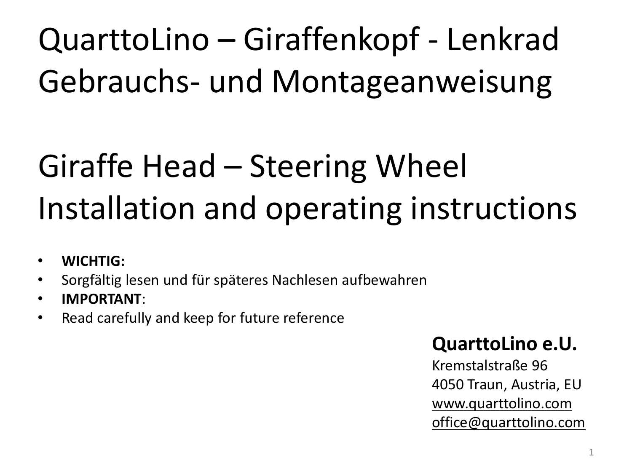# QuarttoLino – Giraffenkopf - Lenkrad Gebrauchs- und Montageanweisung

# Giraffe Head – Steering Wheel Installation and operating instructions

- **WICHTIG:**
- Sorgfältig lesen und für späteres Nachlesen aufbewahren
- **IMPORTANT**:
- Read carefully and keep for future reference

# **QuarttoLino e.U.**

Kremstalstraße 96 4050 Traun, Austria, EU [www.quarttolino.com](http://www.quarttolino.com/) [office@quarttolino.com](mailto:office@quarttolino.com)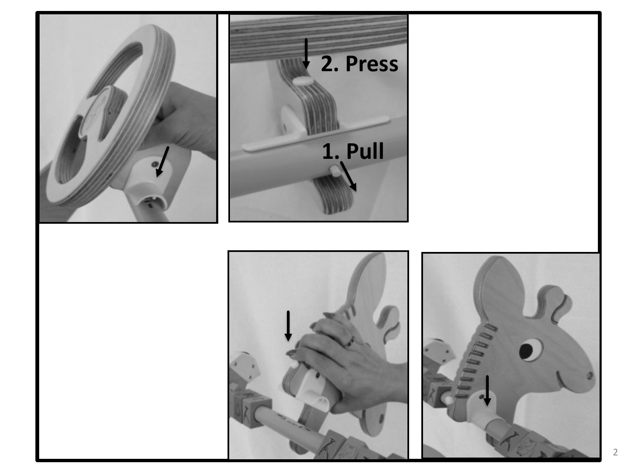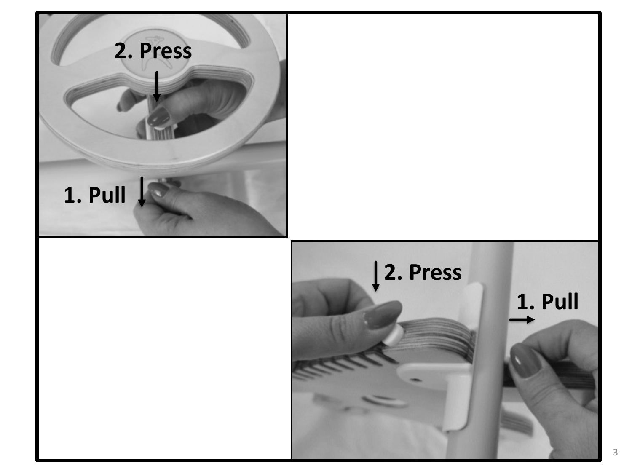